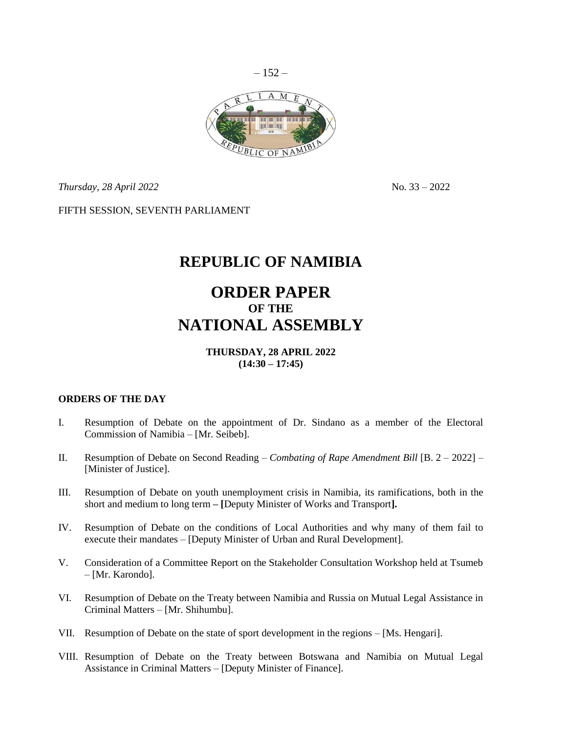

*Thursday, 28 April 2022* No. 33 – 2022

FIFTH SESSION, SEVENTH PARLIAMENT

# **REPUBLIC OF NAMIBIA**

# **ORDER PAPER OF THE NATIONAL ASSEMBLY**

## **THURSDAY, 28 APRIL 2022 (14:30 – 17:45)**

#### **ORDERS OF THE DAY**

- I. Resumption of Debate on the appointment of Dr. Sindano as a member of the Electoral Commission of Namibia – [Mr. Seibeb].
- II. Resumption of Debate on Second Reading *Combating of Rape Amendment Bill* [B. 2 2022] [Minister of Justice].
- III. Resumption of Debate on youth unemployment crisis in Namibia, its ramifications, both in the short and medium to long term **– [**Deputy Minister of Works and Transport**].**
- IV. Resumption of Debate on the conditions of Local Authorities and why many of them fail to execute their mandates – [Deputy Minister of Urban and Rural Development].
- V. Consideration of a Committee Report on the Stakeholder Consultation Workshop held at Tsumeb – [Mr. Karondo].
- VI. Resumption of Debate on the Treaty between Namibia and Russia on Mutual Legal Assistance in Criminal Matters – [Mr. Shihumbu].
- VII. Resumption of Debate on the state of sport development in the regions [Ms. Hengari].
- VIII. Resumption of Debate on the Treaty between Botswana and Namibia on Mutual Legal Assistance in Criminal Matters – [Deputy Minister of Finance].

 $-152-$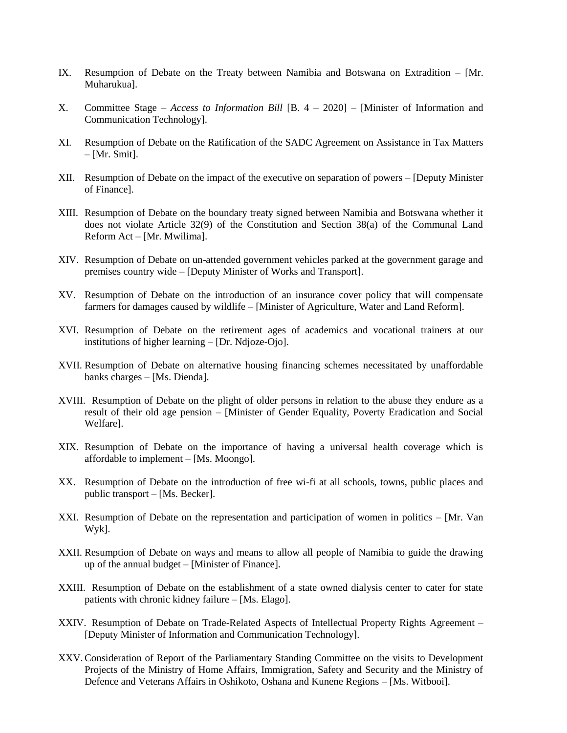- IX. Resumption of Debate on the Treaty between Namibia and Botswana on Extradition [Mr. Muharukua].
- X. Committee Stage *Access to Information Bill* [B. 4 2020] [Minister of Information and Communication Technology].
- XI. Resumption of Debate on the Ratification of the SADC Agreement on Assistance in Tax Matters  $-$  [Mr. Smit].
- XII. Resumption of Debate on the impact of the executive on separation of powers [Deputy Minister of Finance].
- XIII. Resumption of Debate on the boundary treaty signed between Namibia and Botswana whether it does not violate Article 32(9) of the Constitution and Section 38(a) of the Communal Land Reform Act – [Mr. Mwilima].
- XIV. Resumption of Debate on un-attended government vehicles parked at the government garage and premises country wide – [Deputy Minister of Works and Transport].
- XV. Resumption of Debate on the introduction of an insurance cover policy that will compensate farmers for damages caused by wildlife – [Minister of Agriculture, Water and Land Reform].
- XVI. Resumption of Debate on the retirement ages of academics and vocational trainers at our institutions of higher learning – [Dr. Ndjoze-Ojo].
- XVII. Resumption of Debate on alternative housing financing schemes necessitated by unaffordable banks charges – [Ms. Dienda].
- XVIII. Resumption of Debate on the plight of older persons in relation to the abuse they endure as a result of their old age pension – [Minister of Gender Equality, Poverty Eradication and Social Welfare].
- XIX. Resumption of Debate on the importance of having a universal health coverage which is affordable to implement – [Ms. Moongo].
- XX. Resumption of Debate on the introduction of free wi-fi at all schools, towns, public places and public transport – [Ms. Becker].
- XXI. Resumption of Debate on the representation and participation of women in politics [Mr. Van Wyk].
- XXII. Resumption of Debate on ways and means to allow all people of Namibia to guide the drawing up of the annual budget – [Minister of Finance].
- XXIII. Resumption of Debate on the establishment of a state owned dialysis center to cater for state patients with chronic kidney failure – [Ms. Elago].
- XXIV. Resumption of Debate on Trade-Related Aspects of Intellectual Property Rights Agreement [Deputy Minister of Information and Communication Technology].
- XXV.Consideration of Report of the Parliamentary Standing Committee on the visits to Development Projects of the Ministry of Home Affairs, Immigration, Safety and Security and the Ministry of Defence and Veterans Affairs in Oshikoto, Oshana and Kunene Regions – [Ms. Witbooi].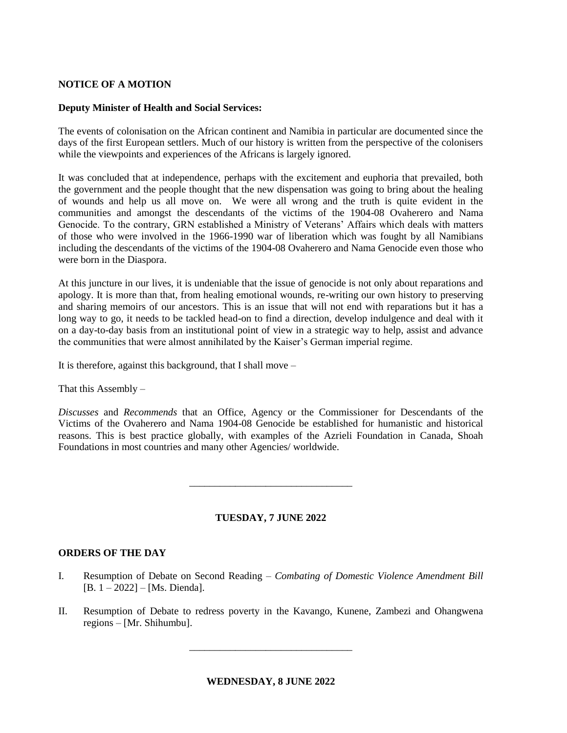## **NOTICE OF A MOTION**

#### **Deputy Minister of Health and Social Services:**

The events of colonisation on the African continent and Namibia in particular are documented since the days of the first European settlers. Much of our history is written from the perspective of the colonisers while the viewpoints and experiences of the Africans is largely ignored.

It was concluded that at independence, perhaps with the excitement and euphoria that prevailed, both the government and the people thought that the new dispensation was going to bring about the healing of wounds and help us all move on. We were all wrong and the truth is quite evident in the communities and amongst the descendants of the victims of the 1904-08 Ovaherero and Nama Genocide. To the contrary, GRN established a Ministry of Veterans' Affairs which deals with matters of those who were involved in the 1966-1990 war of liberation which was fought by all Namibians including the descendants of the victims of the 1904-08 Ovaherero and Nama Genocide even those who were born in the Diaspora.

At this juncture in our lives, it is undeniable that the issue of genocide is not only about reparations and apology. It is more than that, from healing emotional wounds, re-writing our own history to preserving and sharing memoirs of our ancestors. This is an issue that will not end with reparations but it has a long way to go, it needs to be tackled head-on to find a direction, develop indulgence and deal with it on a day-to-day basis from an institutional point of view in a strategic way to help, assist and advance the communities that were almost annihilated by the Kaiser's German imperial regime.

It is therefore, against this background, that I shall move –

That this Assembly –

*Discusses* and *Recommends* that an Office, Agency or the Commissioner for Descendants of the Victims of the Ovaherero and Nama 1904-08 Genocide be established for humanistic and historical reasons. This is best practice globally, with examples of the Azrieli Foundation in Canada, Shoah Foundations in most countries and many other Agencies/ worldwide.

#### **TUESDAY, 7 JUNE 2022**

\_\_\_\_\_\_\_\_\_\_\_\_\_\_\_\_\_\_\_\_\_\_\_\_\_\_\_\_\_\_\_\_

#### **ORDERS OF THE DAY**

- I. Resumption of Debate on Second Reading *Combating of Domestic Violence Amendment Bill*  [B. 1 – 2022] – [Ms. Dienda].
- II. Resumption of Debate to redress poverty in the Kavango, Kunene, Zambezi and Ohangwena regions – [Mr. Shihumbu].

\_\_\_\_\_\_\_\_\_\_\_\_\_\_\_\_\_\_\_\_\_\_\_\_\_\_\_\_\_\_\_\_